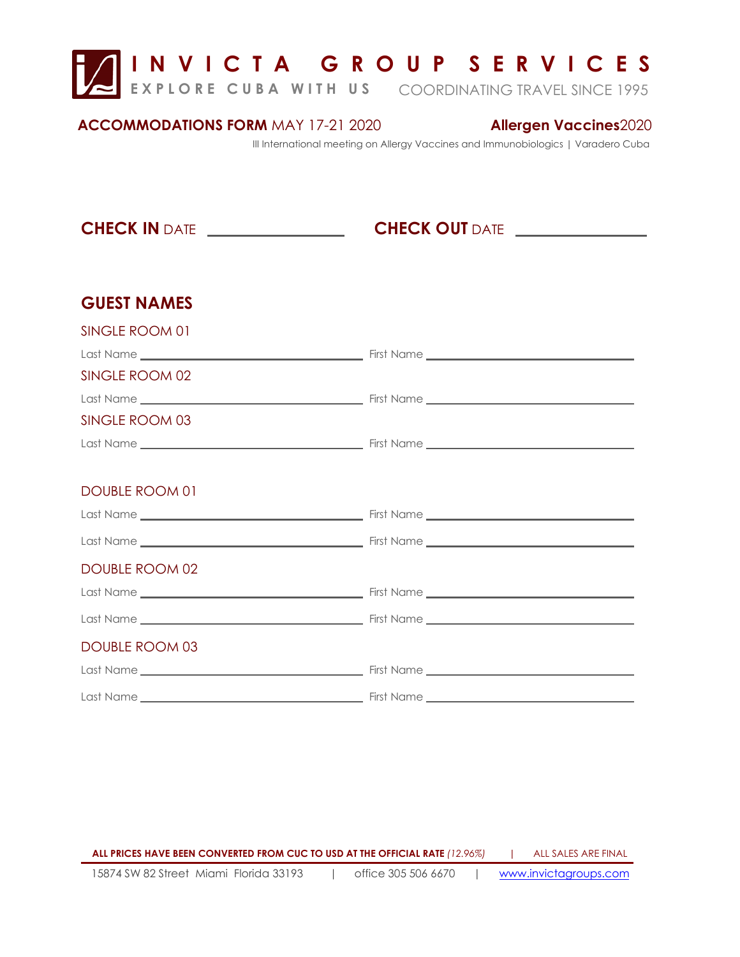**I N V I C T A G R O U P S E R V I C E S** 

**EXPLORE CUBA WITH US** COORDINATING TRAVEL SINCE 1995

#### **ACCOMMODATIONS FORM** MAY 17-21 2020

### **Allergen Vaccines**2020

III International meeting on Allergy Vaccines and Immunobiologics | Varadero Cuba

**CHECK IN** DATE *\_\_\_\_\_\_\_\_\_\_\_\_\_\_\_\_\_***\_\_\_\_\_\_\_\_\_\_\_\_CHECK OUT** DATE

## **GUEST NAMES**

| SINGLE ROOM 01        |  |
|-----------------------|--|
|                       |  |
| SINGLE ROOM 02        |  |
|                       |  |
| SINGLE ROOM 03        |  |
|                       |  |
|                       |  |
| DOUBLE ROOM 01        |  |
|                       |  |
|                       |  |
| DOUBLE ROOM 02        |  |
|                       |  |
|                       |  |
| <b>DOUBLE ROOM 03</b> |  |
|                       |  |
|                       |  |

15874 SW 82 Street Miami Florida 33193 | office 305 506 6670 | www.invictagroups.com **ALL PRICES HAVE BEEN CONVERTED FROM CUC TO USD AT THE OFFICIAL RATE** *(12.96%)* **|** ALL SALES ARE FINAL